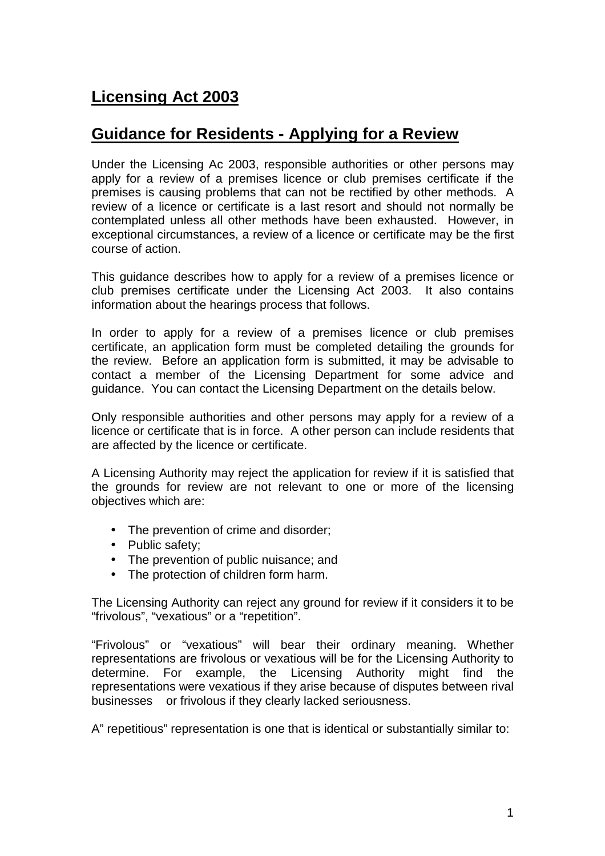# **Licensing Act 2003**

# **Guidance for Residents - Applying for a Review**

 Under the Licensing Ac 2003, responsible authorities or other persons may apply for a review of a premises licence or club premises certificate if the premises is causing problems that can not be rectified by other methods. A review of a licence or certificate is a last resort and should not normally be contemplated unless all other methods have been exhausted. However, in exceptional circumstances, a review of a licence or certificate may be the first course of action.

 This guidance describes how to apply for a review of a premises licence or club premises certificate under the Licensing Act 2003. It also contains information about the hearings process that follows.

 In order to apply for a review of a premises licence or club premises certificate, an application form must be completed detailing the grounds for the review. Before an application form is submitted, it may be advisable to contact a member of the Licensing Department for some advice and guidance. You can contact the Licensing Department on the details below.

 Only responsible authorities and other persons may apply for a review of a licence or certificate that is in force. A other person can include residents that are affected by the licence or certificate.

 A Licensing Authority may reject the application for review if it is satisfied that the grounds for review are not relevant to one or more of the licensing objectives which are:

- The prevention of crime and disorder;
- Public safety;
- The prevention of public nuisance; and
- The protection of children form harm.

 The Licensing Authority can reject any ground for review if it considers it to be "frivolous", "vexatious" or a "repetition".

 "Frivolous" or "vexatious" will bear their ordinary meaning. Whether representations are frivolous or vexatious will be for the Licensing Authority to determine. For example, the Licensing Authority might find the representations were vexatious if they arise because of disputes between rival businesses or frivolous if they clearly lacked seriousness.

A" repetitious" representation is one that is identical or substantially similar to: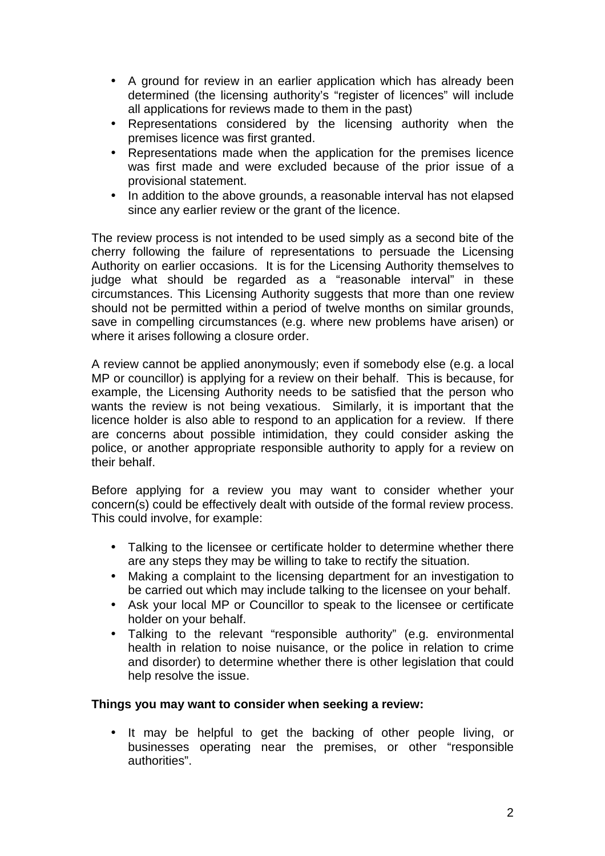- • A ground for review in an earlier application which has already been determined (the licensing authority's "register of licences" will include all applications for reviews made to them in the past)
- • Representations considered by the licensing authority when the premises licence was first granted.
- • Representations made when the application for the premises licence was first made and were excluded because of the prior issue of a provisional statement.
- • In addition to the above grounds, a reasonable interval has not elapsed since any earlier review or the grant of the licence.

 The review process is not intended to be used simply as a second bite of the cherry following the failure of representations to persuade the Licensing Authority on earlier occasions. It is for the Licensing Authority themselves to judge what should be regarded as a "reasonable interval" in these circumstances. This Licensing Authority suggests that more than one review should not be permitted within a period of twelve months on similar grounds, save in compelling circumstances (e.g. where new problems have arisen) or where it arises following a closure order.

 A review cannot be applied anonymously; even if somebody else (e.g. a local MP or councillor) is applying for a review on their behalf. This is because, for example, the Licensing Authority needs to be satisfied that the person who wants the review is not being vexatious. Similarly, it is important that the licence holder is also able to respond to an application for a review. If there are concerns about possible intimidation, they could consider asking the police, or another appropriate responsible authority to apply for a review on their behalf.

 Before applying for a review you may want to consider whether your concern(s) could be effectively dealt with outside of the formal review process. This could involve, for example:

- • Talking to the licensee or certificate holder to determine whether there are any steps they may be willing to take to rectify the situation.
- • Making a complaint to the licensing department for an investigation to be carried out which may include talking to the licensee on your behalf.
- • Ask your local MP or Councillor to speak to the licensee or certificate holder on your behalf.
- • Talking to the relevant "responsible authority" (e.g. environmental health in relation to noise nuisance, or the police in relation to crime and disorder) to determine whether there is other legislation that could help resolve the issue.

#### **Things you may want to consider when seeking a review:**

 $\bullet$  businesses operating near the premises, or other "responsible It may be helpful to get the backing of other people living, or authorities".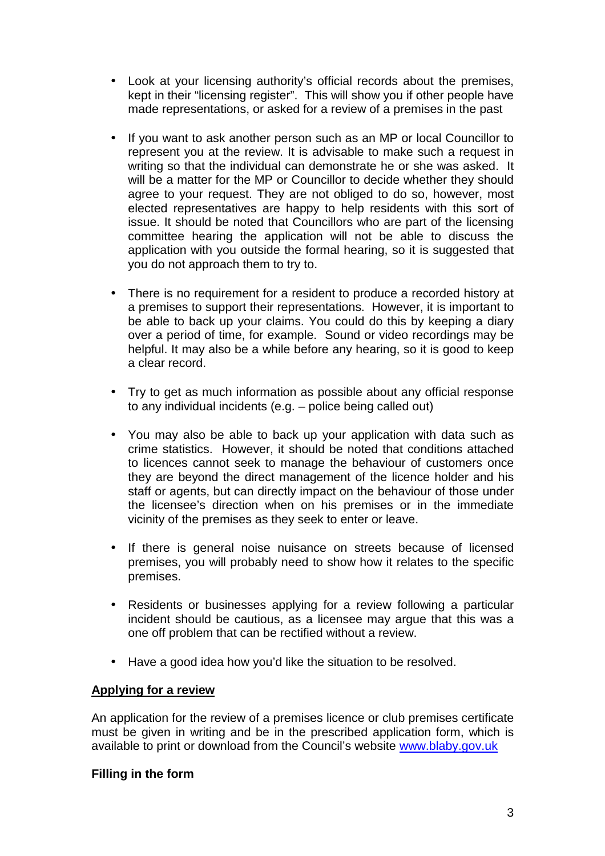- $\bullet$  kept in their "licensing register". This will show you if other people have made representations, or asked for a review of a premises in the past Look at your licensing authority's official records about the premises,
- represent you at the review. It is advisable to make such a request in writing so that the individual can demonstrate he or she was asked. It will be a matter for the MP or Councillor to decide whether they should agree to your request. They are not obliged to do so, however, most elected representatives are happy to help residents with this sort of issue. It should be noted that Councillors who are part of the licensing committee hearing the application will not be able to discuss the application with you outside the formal hearing, so it is suggested that you do not approach them to try to. • If you want to ask another person such as an MP or local Councillor to
- • There is no requirement for a resident to produce a recorded history at a premises to support their representations. However, it is important to be able to back up your claims. You could do this by keeping a diary over a period of time, for example. Sound or video recordings may be helpful. It may also be a while before any hearing, so it is good to keep a clear record.
- • Try to get as much information as possible about any official response to any individual incidents (e.g. – police being called out)
- • You may also be able to back up your application with data such as crime statistics. However, it should be noted that conditions attached to licences cannot seek to manage the behaviour of customers once they are beyond the direct management of the licence holder and his staff or agents, but can directly impact on the behaviour of those under the licensee's direction when on his premises or in the immediate vicinity of the premises as they seek to enter or leave.
- $\bullet$  premises, you will probably need to show how it relates to the specific If there is general noise nuisance on streets because of licensed premises.
- • Residents or businesses applying for a review following a particular incident should be cautious, as a licensee may argue that this was a one off problem that can be rectified without a review.
- $\bullet$ • Have a good idea how you'd like the situation to be resolved.

#### **Applying for a review**

 An application for the review of a premises licence or club premises certificate must be given in writing and be in the prescribed application form, which is available to print or download from the Council's website <www.blaby.gov.uk>

#### **Filling in the form**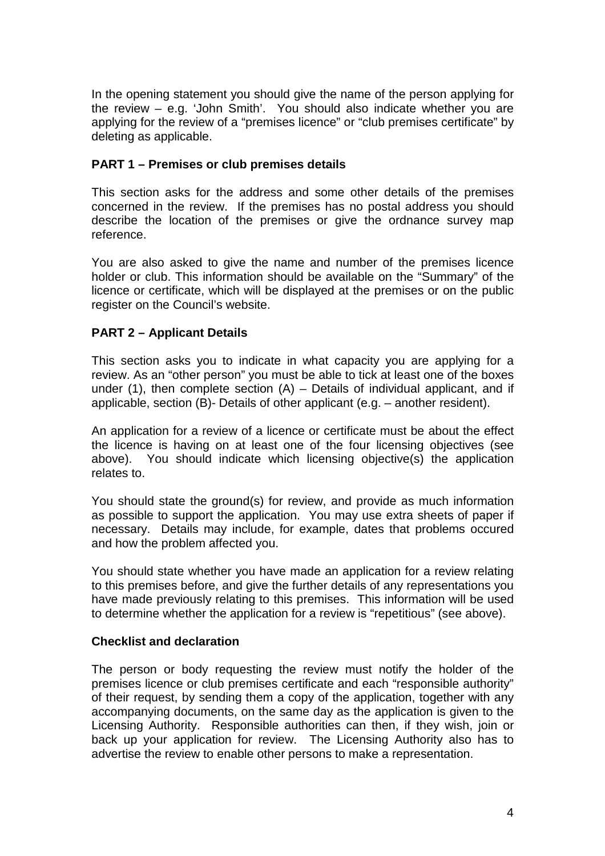In the opening statement you should give the name of the person applying for the review – e.g. 'John Smith'. You should also indicate whether you are applying for the review of a "premises licence" or "club premises certificate" by deleting as applicable.

# **PART 1 – Premises or club premises details**

 This section asks for the address and some other details of the premises concerned in the review. If the premises has no postal address you should describe the location of the premises or give the ordnance survey map reference.

 You are also asked to give the name and number of the premises licence holder or club. This information should be available on the "Summary" of the licence or certificate, which will be displayed at the premises or on the public register on the Council's website.

# **PART 2 – Applicant Details**

 This section asks you to indicate in what capacity you are applying for a review. As an "other person" you must be able to tick at least one of the boxes under (1), then complete section (A) – Details of individual applicant, and if applicable, section (B)- Details of other applicant (e.g. – another resident).

 An application for a review of a licence or certificate must be about the effect the licence is having on at least one of the four licensing objectives (see above). You should indicate which licensing objective(s) the application relates to.

 You should state the ground(s) for review, and provide as much information as possible to support the application. You may use extra sheets of paper if necessary. Details may include, for example, dates that problems occured and how the problem affected you.

 You should state whether you have made an application for a review relating to this premises before, and give the further details of any representations you have made previously relating to this premises. This information will be used to determine whether the application for a review is "repetitious" (see above).

#### **Checklist and declaration**

 The person or body requesting the review must notify the holder of the premises licence or club premises certificate and each "responsible authority" of their request, by sending them a copy of the application, together with any accompanying documents, on the same day as the application is given to the Licensing Authority. Responsible authorities can then, if they wish, join or back up your application for review. The Licensing Authority also has to advertise the review to enable other persons to make a representation.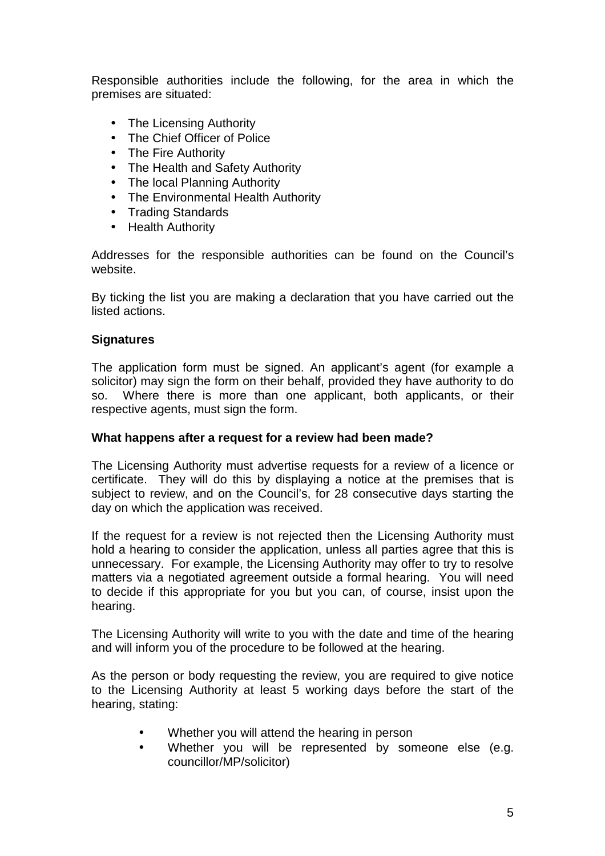Responsible authorities include the following, for the area in which the premises are situated:

- The Licensing Authority
- The Chief Officer of Police
- The Fire Authority
- The Health and Safety Authority
- The local Planning Authority
- The Environmental Health Authority
- Trading Standards
- Health Authority

 Addresses for the responsible authorities can be found on the Council's website.

 By ticking the list you are making a declaration that you have carried out the listed actions.

# **Signatures**

 The application form must be signed. An applicant's agent (for example a solicitor) may sign the form on their behalf, provided they have authority to do SO. respective agents, must sign the form. Where there is more than one applicant, both applicants, or their

#### **What happens after a request for a review had been made?**

 The Licensing Authority must advertise requests for a review of a licence or certificate. They will do this by displaying a notice at the premises that is subject to review, and on the Council's, for 28 consecutive days starting the day on which the application was received.

 If the request for a review is not rejected then the Licensing Authority must hold a hearing to consider the application, unless all parties agree that this is unnecessary. For example, the Licensing Authority may offer to try to resolve matters via a negotiated agreement outside a formal hearing. You will need to decide if this appropriate for you but you can, of course, insist upon the hearing.

 The Licensing Authority will write to you with the date and time of the hearing and will inform you of the procedure to be followed at the hearing.

 As the person or body requesting the review, you are required to give notice to the Licensing Authority at least 5 working days before the start of the hearing, stating:

- Whether you will attend the hearing in person
- • Whether you will be represented by someone else (e.g. councillor/MP/solicitor)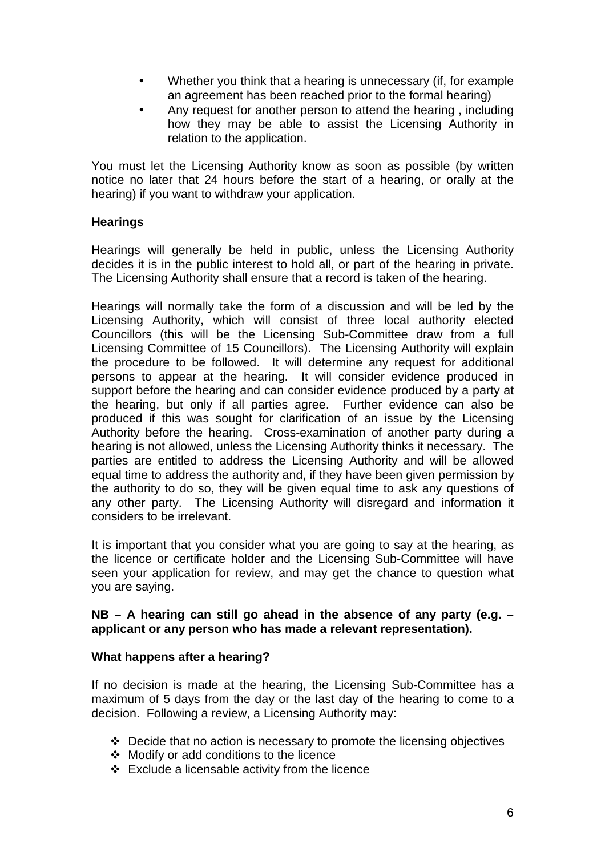- • Whether you think that a hearing is unnecessary (if, for example an agreement has been reached prior to the formal hearing)
- how they may be able to assist the Licensing Authority in relation to the application. • Any request for another person to attend the hearing , including

 You must let the Licensing Authority know as soon as possible (by written notice no later that 24 hours before the start of a hearing, or orally at the hearing) if you want to withdraw your application.

# **Hearings**

 Hearings will generally be held in public, unless the Licensing Authority decides it is in the public interest to hold all, or part of the hearing in private. The Licensing Authority shall ensure that a record is taken of the hearing.

 Hearings will normally take the form of a discussion and will be led by the Licensing Authority, which will consist of three local authority elected Councillors (this will be the Licensing Sub-Committee draw from a full Licensing Committee of 15 Councillors). The Licensing Authority will explain the procedure to be followed. It will determine any request for additional persons to appear at the hearing. It will consider evidence produced in support before the hearing and can consider evidence produced by a party at the hearing, but only if all parties agree. Further evidence can also be produced if this was sought for clarification of an issue by the Licensing Authority before the hearing. Cross-examination of another party during a hearing is not allowed, unless the Licensing Authority thinks it necessary. The parties are entitled to address the Licensing Authority and will be allowed equal time to address the authority and, if they have been given permission by the authority to do so, they will be given equal time to ask any questions of any other party. The Licensing Authority will disregard and information it considers to be irrelevant.

 It is important that you consider what you are going to say at the hearing, as the licence or certificate holder and the Licensing Sub-Committee will have seen your application for review, and may get the chance to question what you are saying.

# **NB – A hearing can still go ahead in the absence of any party (e.g. – applicant or any person who has made a relevant representation).**

#### **What happens after a hearing?**

 If no decision is made at the hearing, the Licensing Sub-Committee has a maximum of 5 days from the day or the last day of the hearing to come to a decision. Following a review, a Licensing Authority may:

- Decide that no action is necessary to promote the licensing objectives
- Modify or add conditions to the licence
- Exclude a licensable activity from the licence